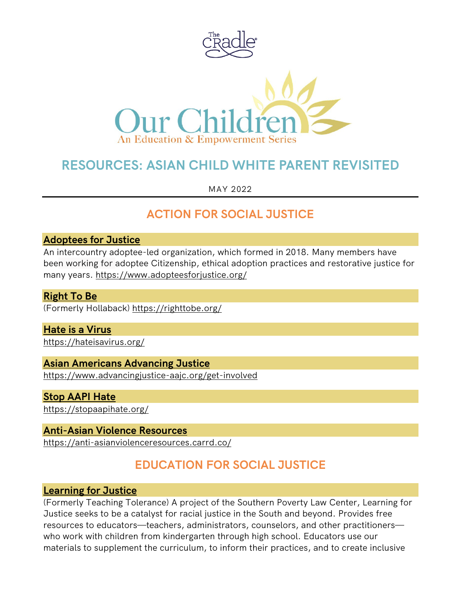

# **RESOURCES: ASIAN CHILD WHITE PARENT REVISITED**

MAY 2022

# **ACTION FOR SOCIAL JUSTICE**

#### **[Adoptees for Justice](https://www.adopteesforjustice.org/)**

An intercountry adoptee-led organization, which formed in 2018. Many members have been working for adoptee Citizenship, ethical adoption practices and restorative justice for many years.<https://www.adopteesforjustice.org/>

#### **[Right To Be](https://righttobe.org/)**

(Formerly Hollaback) <https://righttobe.org/>

# **[Hate is a Virus](https://hateisavirus.org/)**

<https://hateisavirus.org/>

## **[Asian Americans Advancing Justice](https://www.advancingjustice-aajc.org/get-involved)**

<https://www.advancingjustice-aajc.org/get-involved>

#### **[Stop AAPI Hate](https://stopaapihate.org/)**

<https://stopaapihate.org/>

#### **[Anti-Asian Violence Resources](https://anti-asianviolenceresources.carrd.co/)**

<https://anti-asianviolenceresources.carrd.co/>

# **EDUCATION FOR SOCIAL JUSTICE**

#### **[Learning for Justice](https://www.learningforjustice.org/)**

(Formerly Teaching Tolerance) A project of the Southern Poverty Law Center, Learning for Justice seeks to be a catalyst for racial justice in the South and beyond. Provides free resources to educators—teachers, administrators, counselors, and other practitioners who work with children from kindergarten through high school. Educators use our materials to supplement the curriculum, to inform their practices, and to create inclusive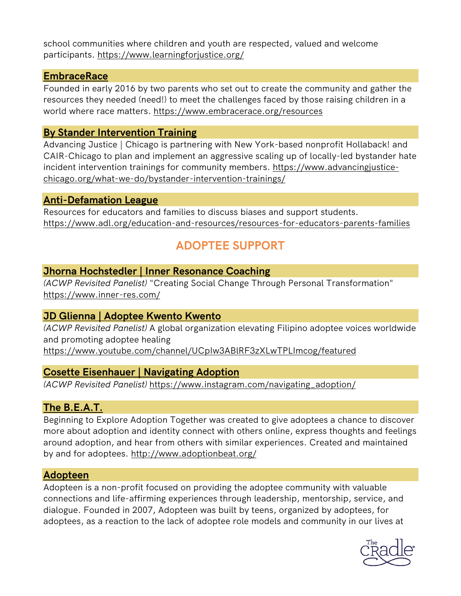school communities where children and youth are respected, valued and welcome participants. <https://www.learningforjustice.org/>

#### **[EmbraceRace](https://www.embracerace.org/resources)**

Founded in early 2016 by two parents who set out to create the community and gather the resources they needed (need!) to meet the challenges faced by those raising children in a world where race matters. <https://www.embracerace.org/resources>

## **[By Stander Intervention Training](https://www.advancingjustice-chicago.org/what-we-do/bystander-intervention-trainings/)**

Advancing Justice | Chicago is partnering with New York-based nonprofit Hollaback! and CAIR-Chicago to plan and implement an aggressive scaling up of locally-led bystander hate incident intervention trainings for community members. [https://www.advancingjustice](https://www.advancingjustice-chicago.org/what-we-do/bystander-intervention-trainings/)[chicago.org/what-we-do/bystander-intervention-trainings/](https://www.advancingjustice-chicago.org/what-we-do/bystander-intervention-trainings/)

#### **[Anti-Defamation League](https://www.adl.org/education-and-resources/resources-for-educators-parents-families)**

Resources for educators and families to discuss biases and support students. <https://www.adl.org/education-and-resources/resources-for-educators-parents-families>

# **ADOPTEE SUPPORT**

## **Jhorna Hochstedler [| Inner Resonance Coaching](https://www.inner-res.com/)**

*(ACWP Revisited Panelist)* "Creating Social Change Through Personal Transformation" <https://www.inner-res.com/>

# **JD Glienna | [Adoptee Kwento Kwento](https://www.youtube.com/channel/UCpIw3ABlRF3zXLwTPLImcog/featured)**

*(ACWP Revisited Panelist)* A global organization elevating Filipino adoptee voices worldwide and promoting adoptee healing

<https://www.youtube.com/channel/UCpIw3ABlRF3zXLwTPLImcog/featured>

## **[Cosette Eisenhauer | Navigating Adoption](https://www.instagram.com/navigating_adoption/)**

*(ACWP Revisited Panelist)* [https://www.instagram.com/navigating\\_adoption/](https://www.instagram.com/navigating_adoption/)

## **[The B.E.A.T.](http://www.adoptionbeat.org/)**

Beginning to Explore Adoption Together was created to give adoptees a chance to discover more about adoption and identity connect with others online, express thoughts and feelings around adoption, and hear from others with similar experiences. Created and maintained by and for adoptees. <http://www.adoptionbeat.org/>

## **[Adopteen](https://www.facebook.com/ilikeadopteen)**

Adopteen is a non-profit focused on providing the adoptee community with valuable connections and life-affirming experiences through leadership, mentorship, service, and dialogue. Founded in 2007, Adopteen was built by teens, organized by adoptees, for adoptees, as a reaction to the lack of adoptee role models and community in our lives at

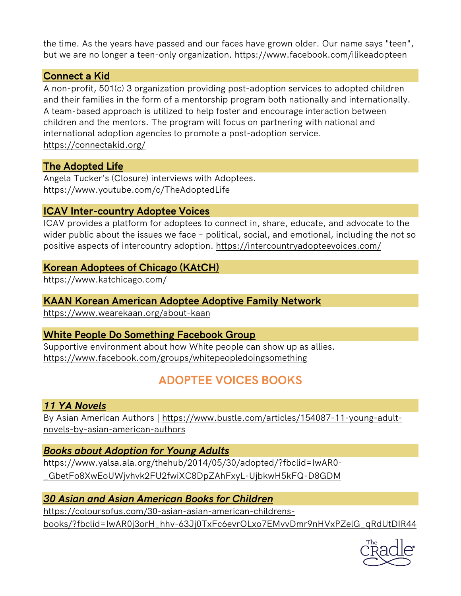the time. As the years have passed and our faces have grown older. Our name says "teen", but we are no longer a teen-only organization. <https://www.facebook.com/ilikeadopteen>

## **[Connect a Kid](https://connectakid.org/)**

A non-profit, 501(c) 3 organization providing post-adoption services to adopted children and their families in the form of a mentorship program both nationally and internationally. A team-based approach is utilized to help foster and encourage interaction between children and the mentors. The program will focus on partnering with national and international adoption agencies to promote a post-adoption service. <https://connectakid.org/>

# **[The Adopted Life](https://www.youtube.com/c/TheAdoptedLife)**

Angela Tucker's (Closure) interviews with Adoptees. <https://www.youtube.com/c/TheAdoptedLife>

# **[ICAV Inter-country Adoptee Voices](https://intercountryadopteevoices.com/)**

ICAV provides a platform for adoptees to connect in, share, educate, and advocate to the wider public about the issues we face - political, social, and emotional, including the not so positive aspects of intercountry adoption.<https://intercountryadopteevoices.com/>

## **[Korean Adoptees of Chicago \(KAtCH\)](https://www.katchicago.com/)**

<https://www.katchicago.com/>

# **[KAAN Korean American Adoptee Adoptive Family Network](https://www.wearekaan.org/about-kaan)**

<https://www.wearekaan.org/about-kaan>

# **[White People Do Something Facebook Group](https://www.facebook.com/groups/whitepeopledoingsomething)**

Supportive environment about how White people can show up as allies. <https://www.facebook.com/groups/whitepeopledoingsomething>

# **ADOPTEE VOICES BOOKS**

# *11 YA Novels*

By Asian American Authors | [https://www.bustle.com/articles/154087-11-young-adult](https://www.bustle.com/articles/154087-11-young-adult-novels-by-asian-american-authors)[novels-by-asian-american-authors](https://www.bustle.com/articles/154087-11-young-adult-novels-by-asian-american-authors)

# *[Books about Adoption for Young Adults](https://www.yalsa.ala.org/thehub/2014/05/30/adopted/?fbclid=IwAR0-_GbetFo8XwEoUWjvhvk2FU2fwiXC8DpZAhFxyL-UjbkwH5kFQ-D8GDM)*

[https://www.yalsa.ala.org/thehub/2014/05/30/adopted/?fbclid=IwAR0-](https://www.yalsa.ala.org/thehub/2014/05/30/adopted/?fbclid=IwAR0-_GbetFo8XwEoUWjvhvk2FU2fwiXC8DpZAhFxyL-UjbkwH5kFQ-D8GDM) [\\_GbetFo8XwEoUWjvhvk2FU2fwiXC8DpZAhFxyL-UjbkwH5kFQ-D8GDM](https://www.yalsa.ala.org/thehub/2014/05/30/adopted/?fbclid=IwAR0-_GbetFo8XwEoUWjvhvk2FU2fwiXC8DpZAhFxyL-UjbkwH5kFQ-D8GDM)

# *[30 Asian and Asian American Books for Children](https://coloursofus.com/30-asian-asian-american-childrens-books/?fbclid=IwAR0j3orH_hhv-63Jj0TxFc6evrOLxo7EMvvDmr9nHVxPZelG_qRdUtDIR44)*

[https://coloursofus.com/30-asian-asian-american-childrens](https://coloursofus.com/30-asian-asian-american-childrens-books/?fbclid=IwAR0j3orH_hhv-63Jj0TxFc6evrOLxo7EMvvDmr9nHVxPZelG_qRdUtDIR44)[books/?fbclid=IwAR0j3orH\\_hhv-63Jj0TxFc6evrOLxo7EMvvDmr9nHVxPZelG\\_qRdUtDIR44](https://coloursofus.com/30-asian-asian-american-childrens-books/?fbclid=IwAR0j3orH_hhv-63Jj0TxFc6evrOLxo7EMvvDmr9nHVxPZelG_qRdUtDIR44)

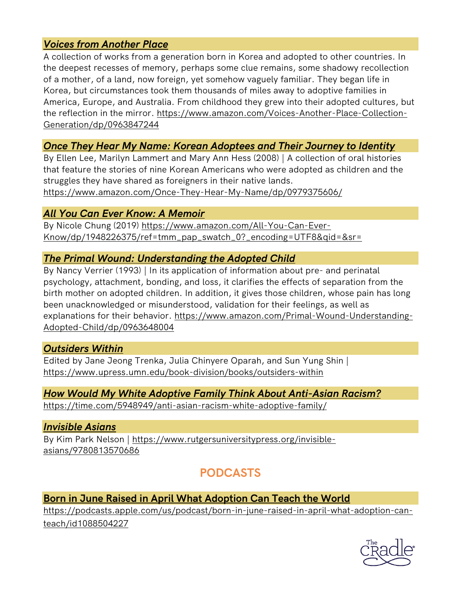# *[Voices from Another Place](https://www.amazon.com/Voices-Another-Place-Collection-Generation/dp/0963847244)*

A collection of works from a generation born in Korea and adopted to other countries. In the deepest recesses of memory, perhaps some clue remains, some shadowy recollection of a mother, of a land, now foreign, yet somehow vaguely familiar. They began life in Korea, but circumstances took them thousands of miles away to adoptive families in America, Europe, and Australia. From childhood they grew into their adopted cultures, but the reflection in the mirror. [https://www.amazon.com/Voices-Another-Place-Collection-](https://www.amazon.com/Voices-Another-Place-Collection-Generation/dp/0963847244)[Generation/dp/0963847244](https://www.amazon.com/Voices-Another-Place-Collection-Generation/dp/0963847244)

## *[Once They Hear My Name: Korean Adoptees and Their Journey to Identity](https://www.amazon.com/Once-They-Hear-My-Name/dp/0979375606/)*

By Ellen Lee, Marilyn Lammert and Mary Ann Hess (2008) | A collection of oral histories that feature the stories of nine Korean Americans who were adopted as children and the struggles they have shared as foreigners in their native lands.

<https://www.amazon.com/Once-They-Hear-My-Name/dp/0979375606/>

## *[All You Can Ever Know: A Memoir](https://www.amazon.com/All-You-Can-Ever-Know/dp/1948226375/ref=tmm_pap_swatch_0?_encoding=UTF8&qid=&sr=)*

By Nicole Chung (2019) [https://www.amazon.com/All-You-Can-Ever-](https://www.amazon.com/All-You-Can-Ever-Know/dp/1948226375/ref=tmm_pap_swatch_0?_encoding=UTF8&qid=&sr=)[Know/dp/1948226375/ref=tmm\\_pap\\_swatch\\_0?\\_encoding=UTF8&qid=&sr=](https://www.amazon.com/All-You-Can-Ever-Know/dp/1948226375/ref=tmm_pap_swatch_0?_encoding=UTF8&qid=&sr=)

## *[The Primal Wound: Understanding the Adopted Child](https://www.amazon.com/Primal-Wound-Understanding-Adopted-Child/dp/0963648004)*

By Nancy Verrier (1993) | In its application of information about pre- and perinatal psychology, attachment, bonding, and loss, it clarifies the effects of separation from the birth mother on adopted children. In addition, it gives those children, whose pain has long been unacknowledged or misunderstood, validation for their feelings, as well as explanations for their behavior. [https://www.amazon.com/Primal-Wound-Understanding-](https://www.amazon.com/Primal-Wound-Understanding-Adopted-Child/dp/0963648004)[Adopted-Child/dp/0963648004](https://www.amazon.com/Primal-Wound-Understanding-Adopted-Child/dp/0963648004)

## *[Outsiders Within](https://www.upress.umn.edu/book-division/books/outsiders-within)*

Edited by Jane Jeong Trenka, Julia Chinyere Oparah, and Sun Yung Shin | <https://www.upress.umn.edu/book-division/books/outsiders-within>

# *[How Would My White Adoptive Family](https://time.com/5948949/anti-asian-racism-white-adoptive-family/) Think About Anti-Asian Racism?*

<https://time.com/5948949/anti-asian-racism-white-adoptive-family/>

## *[Invisible Asians](https://www.rutgersuniversitypress.org/invisible-asians/9780813570686)*

By Kim Park Nelson | [https://www.rutgersuniversitypress.org/invisible](https://www.rutgersuniversitypress.org/invisible-asians/9780813570686)[asians/9780813570686](https://www.rutgersuniversitypress.org/invisible-asians/9780813570686)

# **PODCASTS**

# **[Born in June Raised in April What](https://podcasts.apple.com/us/podcast/born-in-june-raised-in-april-what-adoption-can-teach/id1088504227) Adoption Can Teach the World**

[https://podcasts.apple.com/us/podcast/born-in-june-raised-in-april-what-adoption-can](https://podcasts.apple.com/us/podcast/born-in-june-raised-in-april-what-adoption-can-teach/id1088504227)[teach/id1088504227](https://podcasts.apple.com/us/podcast/born-in-june-raised-in-april-what-adoption-can-teach/id1088504227)

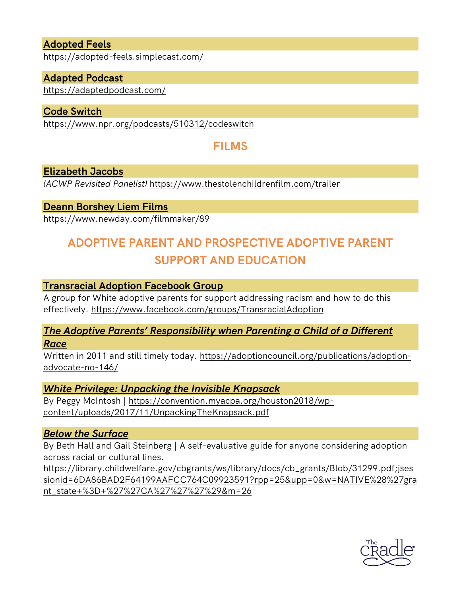## **[Adopted Feels](https://adopted-feels.simplecast.com/)**

<https://adopted-feels.simplecast.com/>

#### **[Adapted Podcast](https://adaptedpodcast.com/)**

<https://adaptedpodcast.com/>

#### **[Code Switch](https://www.npr.org/podcasts/510312/codeswitch)**

<https://www.npr.org/podcasts/510312/codeswitch>

# **FILMS**

#### **[Elizabeth Jacobs](https://www.thestolenchildrenfilm.com/trailer)**

*(ACWP Revisited Panelist)* <https://www.thestolenchildrenfilm.com/trailer>

#### **[Deann Borshey Liem Films](https://www.newday.com/filmmaker/89)**

<https://www.newday.com/filmmaker/89>

# **ADOPTIVE PARENT AND PROSPECTIVE ADOPTIVE PARENT SUPPORT AND EDUCATION**

#### **[Transracial Adoption Facebook Group](https://www.facebook.com/groups/TransracialAdoption)**

A group for White adoptive parents for support addressing racism and how to do this effectively.<https://www.facebook.com/groups/TransracialAdoption>

#### *[The Adoptive Parents' Responsibility when Parenting a Child of a Different](https://adoptioncouncil.org/publications/adoption-advocate-no-146/)  [Race](https://adoptioncouncil.org/publications/adoption-advocate-no-146/)*

Written in 2011 and still timely today. [https://adoptioncouncil.org/publications/adoption](https://adoptioncouncil.org/publications/adoption-advocate-no-146/)[advocate-no-146/](https://adoptioncouncil.org/publications/adoption-advocate-no-146/)

#### *[White Privilege: Unpacking the Invisible Knapsack](https://convention.myacpa.org/houston2018/wp-ontent/uploads/2017/11/UnpackingTheKnapsack.pdf)*

By Peggy McIntosh | [https://convention.myacpa.org/houston2018/wp](https://convention.myacpa.org/houston2018/wp-content/uploads/2017/11/UnpackingTheKnapsack.pdf)[content/uploads/2017/11/UnpackingTheKnapsack.pdf](https://convention.myacpa.org/houston2018/wp-content/uploads/2017/11/UnpackingTheKnapsack.pdf)

#### *[Below the Surface](https://library.childwelfare.gov/cbgrants/ws/library/docs/cb_grants/Blob/31299.pdf;jsessionid=6DA86BAD2F64199AAFCC764C09923591?rpp=25&upp=0&w=NATIVE%28%27grant_state+%3D+%27%27CA%27%27%27%29&m=26)*

By Beth Hall and Gail Steinberg | A self-evaluative guide for anyone considering adoption across racial or cultural lines.

[https://library.childwelfare.gov/cbgrants/ws/library/docs/cb\\_grants/Blob/31299.pdf;jses](https://library.childwelfare.gov/cbgrants/ws/library/docs/cb_grants/Blob/31299.pdf;jsessionid=6DA86BAD2F64199AAFCC764C09923591?rpp=25&upp=0&w=NATIVE%28%27grant_state+%3D+%27%27CA%27%27%27%29&m=26) [sionid=6DA86BAD2F64199AAFCC764C09923591?rpp=25&upp=0&w=NATIVE%28%27gra](https://library.childwelfare.gov/cbgrants/ws/library/docs/cb_grants/Blob/31299.pdf;jsessionid=6DA86BAD2F64199AAFCC764C09923591?rpp=25&upp=0&w=NATIVE%28%27grant_state+%3D+%27%27CA%27%27%27%29&m=26) [nt\\_state+%3D+%27%27CA%27%27%27%29&m=26](https://library.childwelfare.gov/cbgrants/ws/library/docs/cb_grants/Blob/31299.pdf;jsessionid=6DA86BAD2F64199AAFCC764C09923591?rpp=25&upp=0&w=NATIVE%28%27grant_state+%3D+%27%27CA%27%27%27%29&m=26)